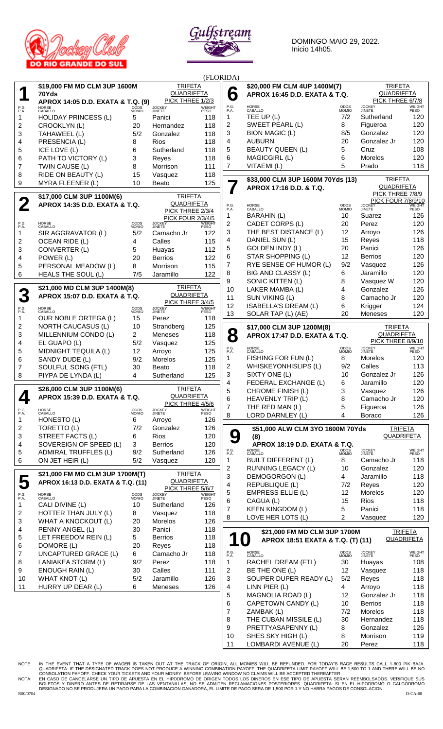



DOMINGO MAIO 29, 2022. Inicio 14h05.

| (FLORIDA)    |                                    |                   |                                     |                |                               |                                   |                             |                                |                   |
|--------------|------------------------------------|-------------------|-------------------------------------|----------------|-------------------------------|-----------------------------------|-----------------------------|--------------------------------|-------------------|
|              | \$19,000 FM MD CLM 3UP 1600M       | <b>TRIFETA</b>    |                                     |                | \$20,000 FM CLM 4UP 1400M(7)  |                                   | <b>TRIFETA</b>              |                                |                   |
|              | 70Yds                              | <b>QUADRIFETA</b> |                                     | 6              | APROX 16:45 D.D. EXATA & T.Q. | <b>QUADRIFETA</b>                 |                             |                                |                   |
|              | APROX 14:05 D.D. EXATA & T.Q. (9)  |                   | PICK THREE 1/2/3                    |                |                               |                                   |                             | PICK THREE 6/7/8               |                   |
| P.G.<br>P.A. | HORSE<br>CABALLO                   | ODDS<br>MOMIO     | <b>JOCKEY</b><br>JINETE             | WEIGHT<br>PESO | P.G.<br>P.A.                  | HORSE<br>CABALLO                  | <b>ODDS</b><br><b>MOMIO</b> | <b>JOCKEY</b><br><b>JINETE</b> | WEIGHT<br>PESO    |
| 1            | <b>HOLIDAY PRINCESS (L)</b>        | 5                 | Panici                              | 118            | 1                             | TEE UP (L)                        | 7/2                         | Sutherland                     | 120               |
| 2            | CROOKLYN (L)                       | 20                | Hernandez                           | 118            | 2                             | SWEET PEARL (L)                   | 8                           | Figueroa                       | 120               |
| 3            | TAHAWEEL (L)                       | 5/2               | Gonzalez                            | 118            | 3                             | <b>BION MAGIC (L)</b>             | 8/5                         | Gonzalez                       | 120               |
| 4            | PRESENCIA (L)                      | 8                 | <b>Rios</b>                         | 118            | 4                             | <b>AUBURN</b>                     | 20                          | Gonzalez Jr                    | 120               |
| 5            | ICE LOVE (L)                       | 6                 | Sutherland                          | 118            | 5                             | <b>BEAUTY QUEEN (L)</b>           | 5                           | Cruz                           | 108               |
|              | PATH TO VICTORY (L)                |                   |                                     |                | 6                             | MAGICGIRL (L)                     | 6                           | Morelos                        | 120               |
| 6            |                                    | 3                 | Reyes                               | 118            |                               |                                   | 5                           |                                |                   |
| 7            | TWIN CAUSE (L)                     | 8                 | Morrison                            | 111            | $\overline{7}$                | VITAEMI (L)                       |                             | Prado                          | 118               |
| 8            | RIDE ON BEAUTY (L)                 | 15                | Vasquez                             | 118            |                               | \$33,000 CLM 3UP 1600M 70Yds (13) |                             | <b>TRIFETA</b>                 |                   |
| 9            | MYRA FLEENER (L)                   | 10                | <b>Beato</b>                        | 125            |                               | APROX 17:16 D.D. & T.Q.           |                             | <b>QUADRIFETA</b>              |                   |
|              | \$17,000 CLM 3UP 1100M(6)          | <b>TRIFETA</b>    |                                     |                |                               |                                   | PICK THREE 7/8/9            |                                |                   |
|              |                                    |                   | <b>QUADRIFETA</b>                   |                |                               |                                   |                             | <b>PICK FOUR 7/8/9/10</b>      |                   |
|              | APROX 14:35 D.D. EXATA & T.Q.      |                   | PICK THREE 2/3/4                    |                | P.G.<br>P.A.                  | HORSE<br>CABALLO                  | ODDS<br>MOMIO               | <b>JOCKEY</b><br>JINETE        | WEIGHT<br>PESO    |
|              |                                    |                   | <b>PICK FOUR 2/3/4/5</b>            |                | 1                             | <b>BARAHIN (L)</b>                | 10                          | Suarez                         | 126               |
| P.G.<br>P.A. | HORSE<br>CABALLO                   | ODDS<br>MOMIO     | <b>JOCKEY</b><br>JINETE             | WEIGHT<br>PESO | 2                             | CADET CORPS (L)                   | 20                          | Perez                          | 120               |
| 1            | SIR AGGRAVATOR (L)                 | 5/2               | Camacho Jr                          | 122            | 3                             | THE BEST DISTANCE (L)             | 12                          | Arroyo                         | 126               |
| 2            | <b>OCEAN RIDE (L)</b>              | 4                 | Calles                              | 115            | 4                             | DANIEL SUN (L)                    | 15                          | Reyes                          | 118               |
| 3            | CONVERTER (L)                      | 5                 | Huayas                              | 112            | 5                             | <b>GOLDEN INDY (L)</b>            | 20                          | Panici                         | 126               |
| 4            | POWER (L)                          | 20                | <b>Berrios</b>                      | 122            | 6                             | <b>STAR SHOPPING (L)</b>          | 12                          | <b>Berrios</b>                 | 120               |
|              | PERSONAL MEADOW (L)                |                   |                                     | 115            | 7                             | RYE SENSE OF HUMOR (L)            | 9/2                         | Vasquez                        | 126               |
| 5            |                                    | 8                 | Morrison                            |                | 8                             | BIG AND CLASSY (L)                | 6                           | Jaramillo                      | 120               |
| 6            | <b>HEALS THE SOUL (L)</b>          | 7/5               | Jaramillo                           | 122            | 9                             | SONIC KITTEN (L)                  | 8                           | Vasquez W                      | 120               |
|              | \$21,000 MD CLM 3UP 1400M(8)       |                   | <b>TRIFETA</b>                      |                |                               |                                   |                             |                                |                   |
| 3            | APROX 15:07 D.D. EXATA & T.Q.      |                   | <b>QUADRIFETA</b>                   |                | 10                            | LAKER MAMBA (L)                   | 4                           | Gonzalez                       | 126               |
|              |                                    |                   | PICK THREE 3/4/5                    |                | 11                            | SUN VIKING (L)                    | 8                           | Camacho Jr                     | 120               |
| P.G.<br>P.A. | HORSE<br>CABALLO                   | ODDS<br>MOMIO     | <b>JOCKEY</b><br>JINETE             | <b>WEIGHT</b>  | 12                            | ISABELLA'S DREAM (L)              | 6                           | Krigger                        | 124               |
| 1            | OUR NOBLE ORTEGA (L)               | 15                | Perez                               | PESO<br>118    | 13                            | SOLAR TAP (L) (AE)                | 20                          | <b>Meneses</b>                 | 120               |
| 2            | <b>NORTH CAUCASUS (L)</b>          | 10                | Strandberg                          | 125            |                               |                                   |                             | <b>TRIFETA</b>                 |                   |
| 3            | MILLENNIUM CONDO (L)               | 2                 | Meneses                             | 118            |                               | \$17,000 CLM 3UP 1200M(8)         |                             | <b>QUADRIFETA</b>              |                   |
|              |                                    |                   |                                     | 125            | 8                             | APROX 17:47 D.D. EXATA & T.Q.     |                             | PICK THREE 8/9/10              |                   |
| 4            | EL GUAPO (L)                       | 5/2               | Vasquez                             |                | P.G.<br>P.A.                  | HORSE<br>CABALLO                  | ODDS<br>MOMIO               | <b>JOCKEY</b><br>JINETE        | <b>WEIGHT</b>     |
| 5            | MIDNIGHT TEQUILA (L)               | 12                | Arroyo                              | 125            |                               | FISHING FOR FUN (L)               | 8                           | Morelos                        | PESO<br>120       |
| 6            | SANDY DUDE (L)                     | 9/2               | Morelos                             | 125            | 1                             |                                   |                             |                                |                   |
| 7            | SOULFUL SONG (FTL)                 | 30                | Beato                               | 118            | 2                             | WHISKEYONHISLIPS (L)              | 9/2                         | Calles                         | 113               |
| 8            | PIYPA DE LYNDA (L)                 | 4                 | Sutherland                          | 125            | 3                             | SIXTY ONE (L)                     | 10                          | Gonzalez Jr                    | 126               |
|              |                                    |                   |                                     |                | $\overline{4}$                | FEDERAL EXCHANGE (L)              | 6                           | Jaramillo                      | 120               |
|              | \$26,000 CLM 3UP 1100M(6)          |                   | <b>TRIFETA</b><br><b>QUADRIFETA</b> |                | 5                             | CHROME FINISH (L)                 | 3                           | Vasquez                        | 126               |
| ←            | APROX 15:39 D.D. EXATA & T.Q.      |                   | PICK THREE 4/5/6                    |                | 6                             | HEAVENLY TRIP (L)                 | 8                           | Camacho Jr                     | 120               |
| P.G.<br>P.A. | HORSE<br>CABALLO                   | ODDS              | <b>JOCKEY</b><br>JINETE             | WEIGHT         | $\overline{7}$                | THE RED MAN (L)                   | 5                           | Figueroa                       | 126               |
|              |                                    | <b>MOMIO</b>      |                                     | PESO           | 8                             | LORD DARNLEY (L)                  | 4                           | Boraco                         | 126               |
| 1            | HONESTO (L)                        | 6                 | Arroyo                              | 126            |                               |                                   |                             |                                |                   |
| 2            | TORETTO (L)                        | 7/2               | Gonzalez                            | 126            |                               | \$51,000 ALW CLM 3YO 1600M 70Yds  |                             |                                | <b>TRIFETA</b>    |
| 3            | STREET FACTS (L)                   | 6                 | Rios                                | 120            | 9                             | (8)                               |                             |                                | <b>QUADRIFETA</b> |
| 4            | SOVEREIGN OF SPEED (L)             | 3                 | <b>Berrios</b>                      | 120            |                               | APROX 18:19 D.D. EXATA & T.Q.     |                             |                                |                   |
| 5            | <b>ADMIRAL TRUFFLES (L)</b>        | 9/2               | Sutherland                          | 126            | P.G.<br>P.A.                  | HORSE<br>CABALLO                  | ODDS<br>MOMIO               | <b>JOCKEY</b><br>JINETE        | WEIGHT<br>PESO    |
| 6            | ON JET HEIR (L)                    | 5/2               | Vasquez                             | 120            | 1                             | <b>BUILT DIFFERENT (L)</b>        | 8                           | Camacho Jr                     | 118               |
|              |                                    |                   | <b>TRIFETA</b>                      |                | $\overline{c}$                | RUNNING LEGACY (L)                | 10                          | Gonzalez                       | 120               |
| 5            | \$21,000 FM MD CLM 3UP 1700M(T)    |                   | <b>QUADRIFETA</b>                   |                | 3                             | DEMOGORGON (L)                    | $\overline{4}$              | Jaramillo                      | 118               |
|              | APROX 16:13 D.D. EXATA & T.Q. (11) |                   | PICK THREE 5/6/7                    |                | 4                             | REPUBLIQUE (L)                    | 7/2                         | Reyes                          | 120               |
| P.G.<br>P.A. | HORSE<br>CABALLO                   | ODDS<br>MOMIO     | <b>JOCKEY</b><br>JINETE             | WEIGHT<br>PESO | 5                             | <b>EMPRESS ELLIE (L)</b>          | 12                          | Morelos                        | 120               |
| 1            | CALI DIVINE (L)                    | 10                | Sutherland                          | 126            | 6                             | CAGUA (L)                         | 15                          | <b>Rios</b>                    | 118               |
|              | HOTTER THAN JULY (L)               |                   |                                     |                | 7                             | <b>KEEN KINGDOM (L)</b>           | 5                           | Panici                         | 118               |
| 2            |                                    | 8                 | Vasquez                             | 118            | 8                             | LOVE HER LOTS (L)                 | $\overline{2}$              | Vasquez                        | 120               |
| 3            | WHAT A KNOCKOUT (L)                | 20                | Morelos                             | 126            |                               |                                   |                             |                                |                   |
| 4            | PENNY ANGEL (L)                    | 30                | Panici                              | 118            |                               | \$21,000 FM MD CLM 3UP 1700M      |                             |                                | <b>TRIFETA</b>    |
| 5            | LET FREEDOM REIN (L)               | 5                 | <b>Berrios</b>                      | 118            |                               | APROX 18:51 EXATA & T.Q. (T) (11) |                             |                                | QUADRIFETA        |
| 6            | DOMORE (L)                         | 20                | Reyes                               | 118            |                               |                                   |                             |                                |                   |
| 7            | <b>UNCAPTURED GRACE (L)</b>        | 6                 | Camacho Jr                          | 118            | P.G.<br>P.A.                  | HORSE<br>CABALLO                  | ODDS<br>MOMIO               | <b>JOCKEY</b><br>JINETE        | WEIGHT<br>PESO    |
| 8            | LANIAKEA STORM (L)                 | 9/2               | Perez                               | 118            | $\mathbf{1}$                  | RACHEL DREAM (FTL)                | 30                          | Huayas                         | 108               |
| 9            | <b>ENOUGH RAIN (L)</b>             | 30                | Calles                              | 111            | 2                             | BE THE ONE (L)                    | 12                          | Vasquez                        | 118               |
| 10           | WHAT KNOT (L)                      | 5/2               | Jaramillo                           | 126            | 3                             | SOUPER DUPER READY (L)            | 5/2                         | Reyes                          | 118               |
| 11           | HURRY UP DEAR (L)                  | 6                 | Meneses                             | 126            | 4                             | LINN PIER (L)                     | $\overline{4}$              | Arroyo                         | 118               |
|              |                                    |                   |                                     |                | 5                             | MAGNOLIA ROAD (L)                 | 12                          | Gonzalez Jr                    | 118               |
|              |                                    |                   |                                     |                | 6                             | CAPETOWN CANDY (L)                | 10                          | <b>Berrios</b>                 | 118               |
|              |                                    |                   |                                     |                | 7                             | ZAMBAK (L)                        | 7/2                         | Morelos                        | 118               |
|              |                                    |                   |                                     |                |                               | THE CUBAN MISSILE (L)             |                             |                                |                   |
|              |                                    |                   |                                     |                | 8                             |                                   | 30                          | Hernandez                      | 118               |
|              |                                    |                   |                                     |                | 9                             | PRETTYASAPENNY (L)                | 8                           | Gonzalez                       | 126               |
|              |                                    |                   |                                     |                | 10                            | SHES SKY HIGH (L)                 | 8                           | Morrison                       | 119               |
|              |                                    |                   |                                     |                | 11                            | LOMBARDI AVENUE (L)               | 20                          | Perez                          | 118               |

NOTE: IN THE EVENT THAT A TYPE OF WAGER IS TAKEN OUT AT THE TRACK OF ORIGIN, ALL MONIES WILL BE REFUNDED. FOR TODAY'S RACE RESULTS CALL 1-800 PIK BAJA.<br>QUADRIFETA: IF THE DESIGNATED TRACK DOES NOT PRODUCE A WINNING COMBINA